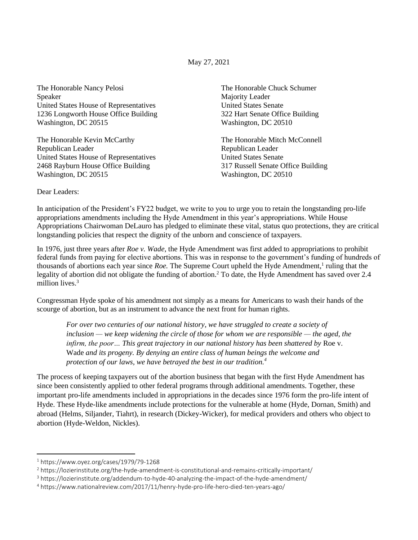May 27, 2021

The Honorable Nancy Pelosi Speaker United States House of Representatives 1236 Longworth House Office Building Washington, DC 20515

The Honorable Kevin McCarthy Republican Leader United States House of Representatives 2468 Rayburn House Office Building Washington, DC 20515

The Honorable Chuck Schumer Majority Leader United States Senate 322 Hart Senate Office Building Washington, DC 20510

The Honorable Mitch McConnell Republican Leader United States Senate 317 Russell Senate Office Building Washington, DC 20510

Dear Leaders:

In anticipation of the President's FY22 budget, we write to you to urge you to retain the longstanding pro-life appropriations amendments including the Hyde Amendment in this year's appropriations. While House Appropriations Chairwoman DeLauro has pledged to eliminate these vital, status quo protections, they are critical longstanding policies that respect the dignity of the unborn and conscience of taxpayers.

In 1976, just three years after *Roe v. Wade*, the Hyde Amendment was first added to appropriations to prohibit federal funds from paying for elective abortions. This was in response to the government's funding of hundreds of thousands of abortions each year since *Roe*. The Supreme Court upheld the Hyde Amendment,<sup>1</sup> ruling that the legality of abortion did not obligate the funding of abortion.<sup>2</sup> To date, the Hyde Amendment has saved over 2.4 million lives.<sup>3</sup>

Congressman Hyde spoke of his amendment not simply as a means for Americans to wash their hands of the scourge of abortion, but as an instrument to advance the next front for human rights.

*For over two centuries of our national history, we have struggled to create a society of inclusion — we keep widening the circle of those for whom we are responsible — the aged, the infirm, the poor… This great trajectory in our national history has been shattered by* Roe v. Wade *and its progeny. By denying an entire class of human beings the welcome and protection of our laws, we have betrayed the best in our tradition.<sup>4</sup>*

The process of keeping taxpayers out of the abortion business that began with the first Hyde Amendment has since been consistently applied to other federal programs through additional amendments. Together, these important pro-life amendments included in appropriations in the decades since 1976 form the pro-life intent of Hyde. These Hyde-like amendments include protections for the vulnerable at home (Hyde, Dornan, Smith) and abroad (Helms, Siljander, Tiahrt), in research (Dickey-Wicker), for medical providers and others who object to abortion (Hyde-Weldon, Nickles).

 $1$  https://www.oyez.org/cases/1979/79-1268

<sup>2</sup> https://lozierinstitute.org/the-hyde-amendment-is-constitutional-and-remains-critically-important/

<sup>3</sup> https://lozierinstitute.org/addendum-to-hyde-40-analyzing-the-impact-of-the-hyde-amendment/

<sup>4</sup> https://www.nationalreview.com/2017/11/henry-hyde-pro-life-hero-died-ten-years-ago/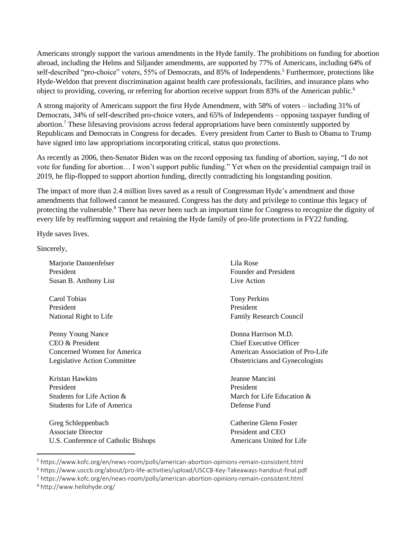Americans strongly support the various amendments in the Hyde family. The prohibitions on funding for abortion abroad, including the Helms and Siljander amendments, are supported by 77% of Americans, including 64% of self-described "pro-choice" voters, 55% of Democrats, and 85% of Independents.<sup>5</sup> Furthermore, protections like Hyde-Weldon that prevent discrimination against health care professionals, facilities, and insurance plans who object to providing, covering, or referring for abortion receive support from 83% of the American public.<sup>6</sup>

A strong majority of Americans support the first Hyde Amendment, with 58% of voters – including 31% of Democrats, 34% of self-described pro-choice voters, and 65% of Independents – opposing taxpayer funding of abortion.<sup>7</sup> These lifesaving provisions across federal appropriations have been consistently supported by Republicans and Democrats in Congress for decades. Every president from Carter to Bush to Obama to Trump have signed into law appropriations incorporating critical, status quo protections.

As recently as 2006, then-Senator Biden was on the record opposing tax funding of abortion, saying, "I do not vote for funding for abortion… I won't support public funding." Yet when on the presidential campaign trail in 2019, he flip-flopped to support abortion funding, directly contradicting his longstanding position.

The impact of more than 2.4 million lives saved as a result of Congressman Hyde's amendment and those amendments that followed cannot be measured. Congress has the duty and privilege to continue this legacy of protecting the vulnerable.<sup>8</sup> There has never been such an important time for Congress to recognize the dignity of every life by reaffirming support and retaining the Hyde family of pro-life protections in FY22 funding.

Hyde saves lives.

Sincerely,

Marjorie Dannenfelser President Susan B. Anthony List

Carol Tobias President National Right to Life

Penny Young Nance CEO & President Concerned Women for America Legislative Action Committee

Kristan Hawkins President Students for Life Action & Students for Life of America

Greg Schleppenbach Associate Director U.S. Conference of Catholic Bishops Lila Rose Founder and President Live Action

Tony Perkins President Family Research Council

Donna Harrison M.D. Chief Executive Officer American Association of Pro-Life Obstetricians and Gynecologists

Jeanne Mancini President March for Life Education & Defense Fund

Catherine Glenn Foster President and CEO Americans United for Life

<sup>5</sup> https://www.kofc.org/en/news-room/polls/american-abortion-opinions-remain-consistent.html

<sup>6</sup> https://www.usccb.org/about/pro-life-activities/upload/USCCB-Key-Takeaways-handout-final.pdf

<sup>7</sup> https://www.kofc.org/en/news-room/polls/american-abortion-opinions-remain-consistent.html

<sup>8</sup> http://www.hellohyde.org/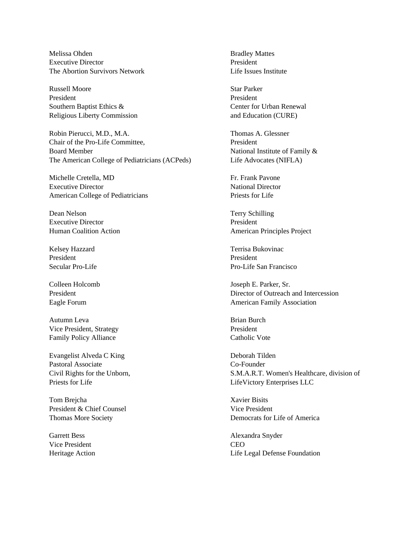Melissa Ohden Executive Director The Abortion Survivors Network

Russell Moore President Southern Baptist Ethics & Religious Liberty Commission

Robin Pierucci, M.D., M.A. Chair of the Pro-Life Committee, Board Member The American College of Pediatricians (ACPeds)

Michelle Cretella, MD Executive Director American College of Pediatricians

Dean Nelson Executive Director Human Coalition Action

Kelsey Hazzard President Secular Pro-Life

Colleen Holcomb President Eagle Forum

Autumn Leva Vice President, Strategy Family Policy Alliance

Evangelist Alveda C King Pastoral Associate Civil Rights for the Unborn, Priests for Life

Tom Brejcha President & Chief Counsel Thomas More Society

Garrett Bess Vice President Heritage Action Bradley Mattes President Life Issues Institute

Star Parker President Center for Urban Renewal and Education (CURE)

Thomas A. Glessner President National Institute of Family & Life Advocates (NIFLA)

Fr. Frank Pavone National Director Priests for Life

Terry Schilling President American Principles Project

Terrisa Bukovinac President Pro-Life San Francisco

Joseph E. Parker, Sr. Director of Outreach and Intercession American Family Association

Brian Burch President Catholic Vote

Deborah Tilden Co-Founder S.M.A.R.T. Women's Healthcare, division of LifeVictory Enterprises LLC

Xavier Bisits Vice President Democrats for Life of America

Alexandra Snyder CEO Life Legal Defense Foundation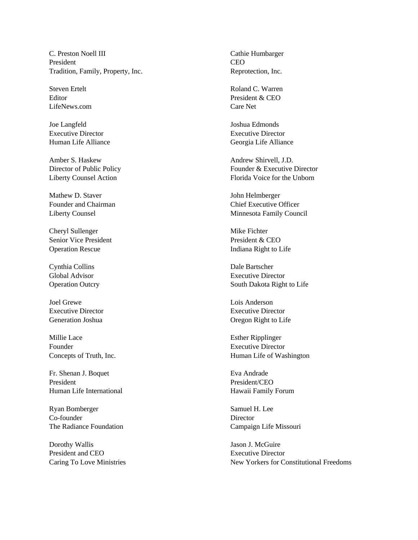C. Preston Noell III President Tradition, Family, Property, Inc.

Steven Ertelt Editor LifeNews.com

Joe Langfeld Executive Director Human Life Alliance

Amber S. Haskew Director of Public Policy Liberty Counsel Action

Mathew D. Staver Founder and Chairman Liberty Counsel

Cheryl Sullenger Senior Vice President Operation Rescue

Cynthia Collins Global Advisor Operation Outcry

Joel Grewe Executive Director Generation Joshua

Millie Lace Founder Concepts of Truth, Inc.

Fr. Shenan J. Boquet President Human Life International

Ryan Bomberger Co-founder The Radiance Foundation

Dorothy Wallis President and CEO Caring To Love Ministries Cathie Humbarger CEO Reprotection, Inc.

Roland C. Warren President & CEO Care Net

Joshua Edmonds Executive Director Georgia Life Alliance

Andrew Shirvell, J.D. Founder & Executive Director Florida Voice for the Unborn

John Helmberger Chief Executive Officer Minnesota Family Council

Mike Fichter President & CEO Indiana Right to Life

Dale Bartscher Executive Director South Dakota Right to Life

Lois Anderson Executive Director Oregon Right to Life

Esther Ripplinger Executive Director Human Life of Washington

Eva Andrade President/CEO Hawaii Family Forum

Samuel H. Lee **Director** Campaign Life Missouri

Jason J. McGuire Executive Director New Yorkers for Constitutional Freedoms